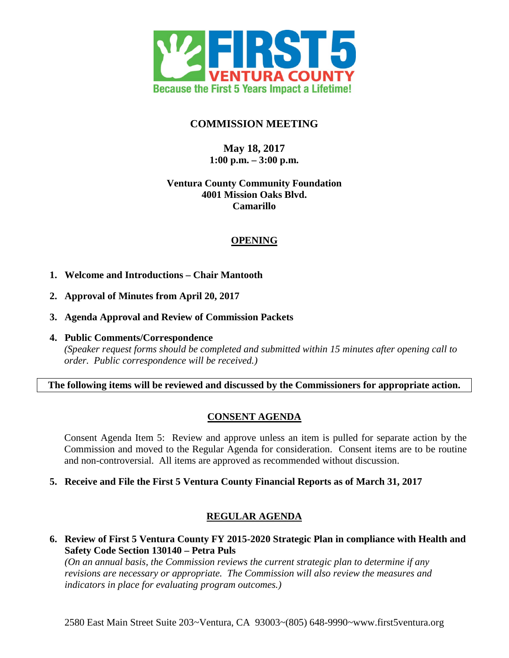

## **COMMISSION MEETING**

**May 18, 2017 1:00 p.m. – 3:00 p.m.**

### **Ventura County Community Foundation 4001 Mission Oaks Blvd. Camarillo**

## **OPENING**

- **1. Welcome and Introductions Chair Mantooth**
- **2. Approval of Minutes from April 20, 2017**
- **3. Agenda Approval and Review of Commission Packets**
- **4. Public Comments/Correspondence** *(Speaker request forms should be completed and submitted within 15 minutes after opening call to order. Public correspondence will be received.)*

**The following items will be reviewed and discussed by the Commissioners for appropriate action.**

# **CONSENT AGENDA**

Consent Agenda Item 5: Review and approve unless an item is pulled for separate action by the Commission and moved to the Regular Agenda for consideration. Consent items are to be routine and non-controversial. All items are approved as recommended without discussion.

**5. Receive and File the First 5 Ventura County Financial Reports as of March 31, 2017**

# **REGULAR AGENDA**

**6. Review of First 5 Ventura County FY 2015-2020 Strategic Plan in compliance with Health and Safety Code Section 130140 – Petra Puls**

*(On an annual basis, the Commission reviews the current strategic plan to determine if any revisions are necessary or appropriate. The Commission will also review the measures and indicators in place for evaluating program outcomes.)*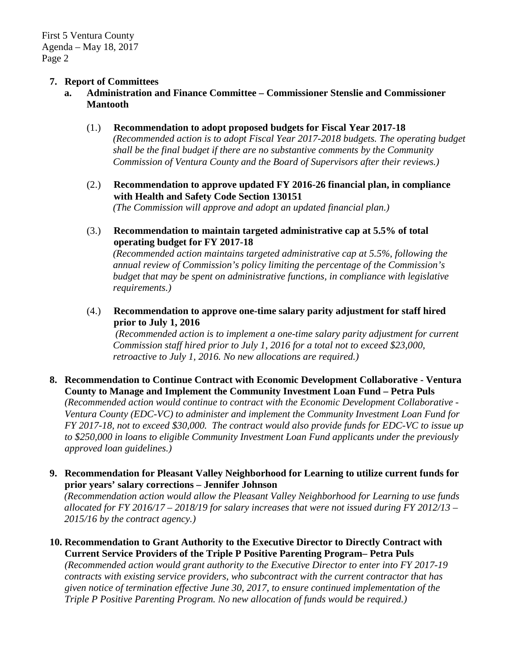#### **7. Report of Committees**

**a. Administration and Finance Committee – Commissioner Stenslie and Commissioner Mantooth**

#### (1.) **Recommendation to adopt proposed budgets for Fiscal Year 2017-18**

*(Recommended action is to adopt Fiscal Year 2017-2018 budgets. The operating budget shall be the final budget if there are no substantive comments by the Community Commission of Ventura County and the Board of Supervisors after their reviews.)*

- (2.) **Recommendation to approve updated FY 2016-26 financial plan, in compliance with Health and Safety Code Section 130151** *(The Commission will approve and adopt an updated financial plan.)*
- (3.) **Recommendation to maintain targeted administrative cap at 5.5% of total operating budget for FY 2017-18**

*(Recommended action maintains targeted administrative cap at 5.5%, following the annual review of Commission's policy limiting the percentage of the Commission's budget that may be spent on administrative functions, in compliance with legislative requirements.)*

(4.) **Recommendation to approve one-time salary parity adjustment for staff hired prior to July 1, 2016**

*(Recommended action is to implement a one-time salary parity adjustment for current Commission staff hired prior to July 1, 2016 for a total not to exceed \$23,000, retroactive to July 1, 2016. No new allocations are required.)*

#### **8. Recommendation to Continue Contract with Economic Development Collaborative - Ventura County to Manage and Implement the Community Investment Loan Fund – Petra Puls**

*(Recommended action would continue to contract with the Economic Development Collaborative - Ventura County (EDC-VC) to administer and implement the Community Investment Loan Fund for FY 2017-18, not to exceed \$30,000. The contract would also provide funds for EDC-VC to issue up to \$250,000 in loans to eligible Community Investment Loan Fund applicants under the previously approved loan guidelines.)*

### **9. Recommendation for Pleasant Valley Neighborhood for Learning to utilize current funds for prior years' salary corrections – Jennifer Johnson**

*(Recommendation action would allow the Pleasant Valley Neighborhood for Learning to use funds allocated for FY 2016/17 – 2018/19 for salary increases that were not issued during FY 2012/13 – 2015/16 by the contract agency.)*

**10. Recommendation to Grant Authority to the Executive Director to Directly Contract with Current Service Providers of the Triple P Positive Parenting Program– Petra Puls**

*(Recommended action would grant authority to the Executive Director to enter into FY 2017-19 contracts with existing service providers, who subcontract with the current contractor that has given notice of termination effective June 30, 2017, to ensure continued implementation of the Triple P Positive Parenting Program. No new allocation of funds would be required.)*